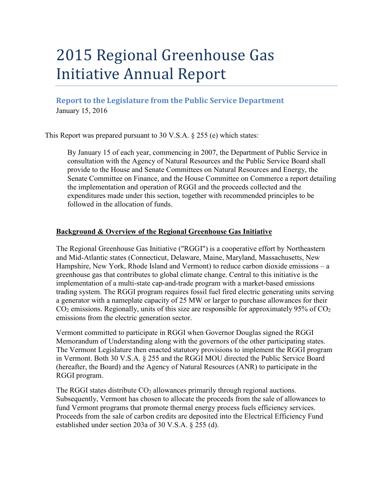# 2015 Regional Greenhouse Gas Initiative Annual Report

**Report to the Legislature from the Public Service Department** January 15, 2016

This Report was prepared pursuant to 30 V.S.A. § 255 (e) which states:

By January 15 of each year, commencing in 2007, the Department of Public Service in consultation with the Agency of Natural Resources and the Public Service Board shall provide to the House and Senate Committees on Natural Resources and Energy, the Senate Committee on Finance, and the House Committee on Commerce a report detailing the implementation and operation of RGGI and the proceeds collected and the expenditures made under this section, together with recommended principles to be followed in the allocation of funds.

# **Background & Overview of the Regional Greenhouse Gas Initiative**

The Regional Greenhouse Gas Initiative ("RGGI") is a cooperative effort by Northeastern and Mid-Atlantic states (Connecticut, Delaware, Maine, Maryland, Massachusetts, New Hampshire, New York, Rhode Island and Vermont) to reduce carbon dioxide emissions – a greenhouse gas that contributes to global climate change. Central to this initiative is the implementation of a multi-state cap-and-trade program with a market-based emissions trading system. The RGGI program requires fossil fuel fired electric generating units serving a generator with a nameplate capacity of 25 MW or larger to purchase allowances for their  $CO<sub>2</sub>$  emissions. Regionally, units of this size are responsible for approximately 95% of  $CO<sub>2</sub>$ emissions from the electric generation sector.

Vermont committed to participate in RGGI when Governor Douglas signed the RGGI Memorandum of Understanding along with the governors of the other participating states. The Vermont Legislature then enacted statutory provisions to implement the RGGI program in Vermont. Both 30 V.S.A. § 255 and the RGGI MOU directed the Public Service Board (hereafter, the Board) and the Agency of Natural Resources (ANR) to participate in the RGGI program.

The RGGI states distribute  $CO<sub>2</sub>$  allowances primarily through regional auctions. Subsequently, Vermont has chosen to allocate the proceeds from the sale of allowances to fund Vermont programs that promote thermal energy process fuels efficiency services. Proceeds from the sale of carbon credits are deposited into the Electrical Efficiency Fund established under section 203a of 30 V.S.A. § 255 (d).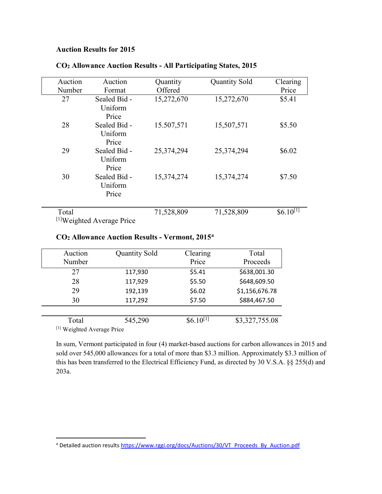## **Auction Results for 2015**

| Auction                               | Auction      | Quantity   | <b>Quantity Sold</b> | Clearing      |  |
|---------------------------------------|--------------|------------|----------------------|---------------|--|
| Number                                | Format       | Offered    |                      | Price         |  |
| 27                                    | Sealed Bid - | 15,272,670 | 15,272,670           | \$5.41        |  |
|                                       | Uniform      |            |                      |               |  |
|                                       | Price        |            |                      |               |  |
| 28                                    | Sealed Bid - | 15.507,571 | 15,507,571           | \$5.50        |  |
|                                       | Uniform      |            |                      |               |  |
|                                       | Price        |            |                      |               |  |
| 29                                    | Sealed Bid - | 25,374,294 | 25,374,294           | \$6.02        |  |
|                                       | Uniform      |            |                      |               |  |
|                                       | Price        |            |                      |               |  |
| 30                                    | Sealed Bid - | 15,374,274 | 15,374,274           | \$7.50        |  |
|                                       | Uniform      |            |                      |               |  |
|                                       | Price        |            |                      |               |  |
|                                       |              |            |                      |               |  |
| Total                                 |              | 71,528,809 | 71,528,809           | $$6.10^{[1]}$ |  |
| <sup>[1]</sup> Weighted Average Price |              |            |                      |               |  |

# **CO2 Allowance Auction Results - All Participating States, 2015**

### **CO2 Allowance Auction Results - Vermont, 2015[a](#page-1-0)**

| Auction                    | <b>Quantity Sold</b> | Clearing      | Total          |  |
|----------------------------|----------------------|---------------|----------------|--|
| Number                     |                      | Price         | Proceeds       |  |
| 27                         | 117,930              | \$5.41        | \$638,001.30   |  |
| 28                         | 117,929              | \$5.50        | \$648,609.50   |  |
| 29                         | 192,139              | \$6.02        | \$1,156,676.78 |  |
| 30                         | 117,292              | \$7.50        | \$884,467.50   |  |
|                            |                      |               |                |  |
| Total                      | 545,290              | $$6.10^{[1]}$ | \$3,327,755.08 |  |
| [1] Weighted Average Price |                      |               |                |  |

In sum, Vermont participated in four (4) market-based auctions for carbon allowances in 2015 and sold over 545,000 allowances for a total of more than \$3.3 million. Approximately \$3.3 million of this has been transferred to the Electrical Efficiency Fund, as directed by 30 V.S.A. §§ 255(d) and 203a.

<span id="page-1-0"></span><sup>&</sup>lt;sup>a</sup> Detailed auction results [https://www.rggi.org/docs/Auctions/30/VT\\_Proceeds\\_By\\_Auction.pdf](https://www.rggi.org/docs/Auctions/30/VT_Proceeds_By_Auction.pdf)